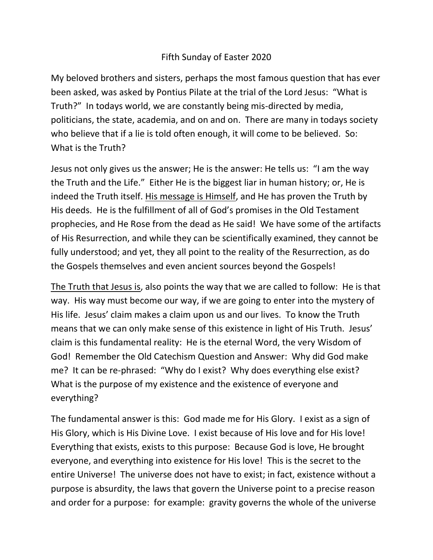## Fifth Sunday of Easter 2020

My beloved brothers and sisters, perhaps the most famous question that has ever been asked, was asked by Pontius Pilate at the trial of the Lord Jesus: "What is Truth?" In todays world, we are constantly being mis-directed by media, politicians, the state, academia, and on and on. There are many in todays society who believe that if a lie is told often enough, it will come to be believed. So: What is the Truth?

Jesus not only gives us the answer; He is the answer: He tells us: "I am the way the Truth and the Life." Either He is the biggest liar in human history; or, He is indeed the Truth itself. His message is Himself, and He has proven the Truth by His deeds. He is the fulfillment of all of God's promises in the Old Testament prophecies, and He Rose from the dead as He said! We have some of the artifacts of His Resurrection, and while they can be scientifically examined, they cannot be fully understood; and yet, they all point to the reality of the Resurrection, as do the Gospels themselves and even ancient sources beyond the Gospels!

The Truth that Jesus is, also points the way that we are called to follow: He is that way. His way must become our way, if we are going to enter into the mystery of His life. Jesus' claim makes a claim upon us and our lives. To know the Truth means that we can only make sense of this existence in light of His Truth. Jesus' claim is this fundamental reality: He is the eternal Word, the very Wisdom of God! Remember the Old Catechism Question and Answer: Why did God make me? It can be re-phrased: "Why do I exist? Why does everything else exist? What is the purpose of my existence and the existence of everyone and everything?

The fundamental answer is this: God made me for His Glory. I exist as a sign of His Glory, which is His Divine Love. I exist because of His love and for His love! Everything that exists, exists to this purpose: Because God is love, He brought everyone, and everything into existence for His love! This is the secret to the entire Universe! The universe does not have to exist; in fact, existence without a purpose is absurdity, the laws that govern the Universe point to a precise reason and order for a purpose: for example: gravity governs the whole of the universe